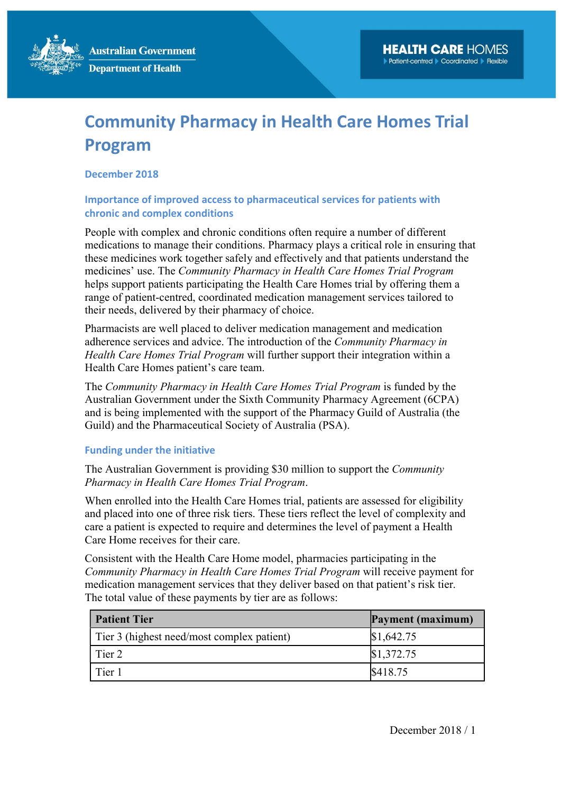**Australian Government Department of Health** 

# Community Pharmacy in Health Care Homes Trial Program

### December 2018

## Importance of improved access to pharmaceutical services for patients with chronic and complex conditions

People with complex and chronic conditions often require a number of different medications to manage their conditions. Pharmacy plays a critical role in ensuring that these medicines work together safely and effectively and that patients understand the medicines' use. The Community Pharmacy in Health Care Homes Trial Program helps support patients participating the Health Care Homes trial by offering them a range of patient-centred, coordinated medication management services tailored to their needs, delivered by their pharmacy of choice.

Pharmacists are well placed to deliver medication management and medication adherence services and advice. The introduction of the Community Pharmacy in Health Care Homes Trial Program will further support their integration within a Health Care Homes patient's care team.

The Community Pharmacy in Health Care Homes Trial Program is funded by the Australian Government under the Sixth Community Pharmacy Agreement (6CPA) and is being implemented with the support of the Pharmacy Guild of Australia (the Guild) and the Pharmaceutical Society of Australia (PSA).

#### Funding under the initiative

The Australian Government is providing \$30 million to support the Community Pharmacy in Health Care Homes Trial Program.

When enrolled into the Health Care Homes trial, patients are assessed for eligibility and placed into one of three risk tiers. These tiers reflect the level of complexity and care a patient is expected to require and determines the level of payment a Health Care Home receives for their care.

Consistent with the Health Care Home model, pharmacies participating in the Community Pharmacy in Health Care Homes Trial Program will receive payment for medication management services that they deliver based on that patient's risk tier. The total value of these payments by tier are as follows:

| <b>Patient Tier</b>                        | Payment (maximum) |
|--------------------------------------------|-------------------|
| Tier 3 (highest need/most complex patient) | \$1,642.75        |
| Tier 2                                     | \$1,372.75        |
| Tier 1                                     | \$418.75          |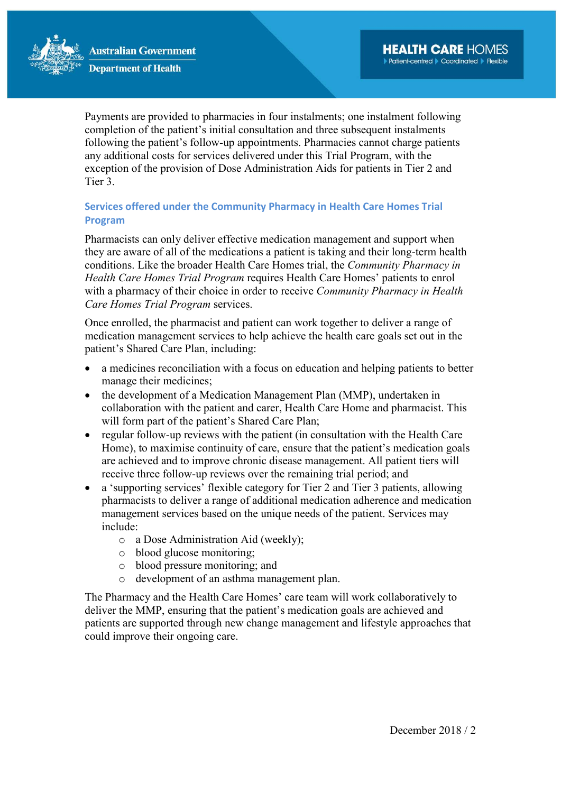

Payments are provided to pharmacies in four instalments; one instalment following completion of the patient's initial consultation and three subsequent instalments following the patient's follow-up appointments. Pharmacies cannot charge patients any additional costs for services delivered under this Trial Program, with the exception of the provision of Dose Administration Aids for patients in Tier 2 and Tier 3.

# Services offered under the Community Pharmacy in Health Care Homes Trial Program

Pharmacists can only deliver effective medication management and support when they are aware of all of the medications a patient is taking and their long-term health conditions. Like the broader Health Care Homes trial, the Community Pharmacy in Health Care Homes Trial Program requires Health Care Homes' patients to enrol with a pharmacy of their choice in order to receive *Community Pharmacy in Health* Care Homes Trial Program services.

Once enrolled, the pharmacist and patient can work together to deliver a range of medication management services to help achieve the health care goals set out in the patient's Shared Care Plan, including:

- a medicines reconciliation with a focus on education and helping patients to better manage their medicines;
- the development of a Medication Management Plan (MMP), undertaken in collaboration with the patient and carer, Health Care Home and pharmacist. This will form part of the patient's Shared Care Plan;
- regular follow-up reviews with the patient (in consultation with the Health Care Home), to maximise continuity of care, ensure that the patient's medication goals are achieved and to improve chronic disease management. All patient tiers will receive three follow-up reviews over the remaining trial period; and
- a 'supporting services' flexible category for Tier 2 and Tier 3 patients, allowing pharmacists to deliver a range of additional medication adherence and medication management services based on the unique needs of the patient. Services may include:
	- o a Dose Administration Aid (weekly);
	- o blood glucose monitoring;
	- o blood pressure monitoring; and
	- o development of an asthma management plan.

The Pharmacy and the Health Care Homes' care team will work collaboratively to deliver the MMP, ensuring that the patient's medication goals are achieved and patients are supported through new change management and lifestyle approaches that could improve their ongoing care.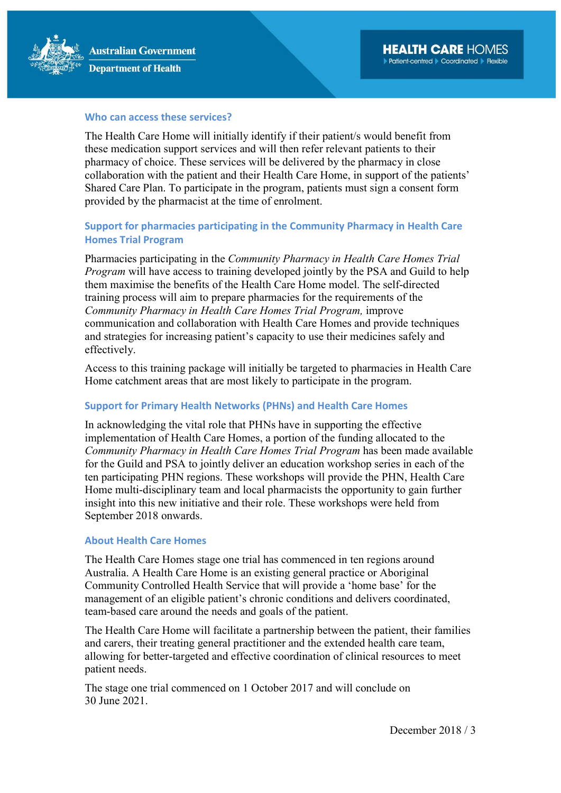

### Who can access these services?

The Health Care Home will initially identify if their patient/s would benefit from these medication support services and will then refer relevant patients to their pharmacy of choice. These services will be delivered by the pharmacy in close collaboration with the patient and their Health Care Home, in support of the patients' Shared Care Plan. To participate in the program, patients must sign a consent form provided by the pharmacist at the time of enrolment.

## Support for pharmacies participating in the Community Pharmacy in Health Care Homes Trial Program

Pharmacies participating in the Community Pharmacy in Health Care Homes Trial Program will have access to training developed jointly by the PSA and Guild to help them maximise the benefits of the Health Care Home model. The self-directed training process will aim to prepare pharmacies for the requirements of the Community Pharmacy in Health Care Homes Trial Program, improve communication and collaboration with Health Care Homes and provide techniques and strategies for increasing patient's capacity to use their medicines safely and effectively.

Access to this training package will initially be targeted to pharmacies in Health Care Home catchment areas that are most likely to participate in the program.

## Support for Primary Health Networks (PHNs) and Health Care Homes

In acknowledging the vital role that PHNs have in supporting the effective implementation of Health Care Homes, a portion of the funding allocated to the Community Pharmacy in Health Care Homes Trial Program has been made available for the Guild and PSA to jointly deliver an education workshop series in each of the ten participating PHN regions. These workshops will provide the PHN, Health Care Home multi-disciplinary team and local pharmacists the opportunity to gain further insight into this new initiative and their role. These workshops were held from September 2018 onwards.

#### About Health Care Homes

The Health Care Homes stage one trial has commenced in ten regions around Australia. A Health Care Home is an existing general practice or Aboriginal Community Controlled Health Service that will provide a 'home base' for the management of an eligible patient's chronic conditions and delivers coordinated, team-based care around the needs and goals of the patient.

The Health Care Home will facilitate a partnership between the patient, their families and carers, their treating general practitioner and the extended health care team, allowing for better-targeted and effective coordination of clinical resources to meet patient needs.

The stage one trial commenced on 1 October 2017 and will conclude on 30 June 2021.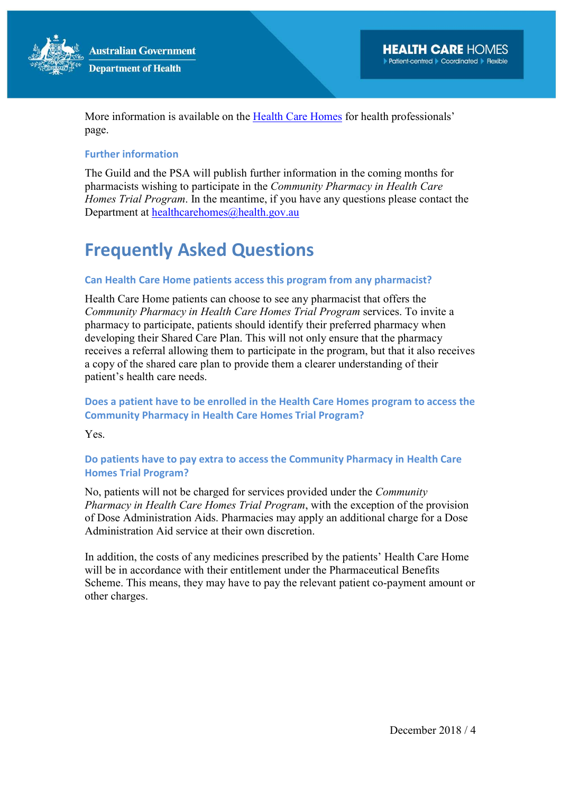

More information is available on the Health Care Homes for health professionals' page.

## Further information

The Guild and the PSA will publish further information in the coming months for pharmacists wishing to participate in the Community Pharmacy in Health Care Homes Trial Program. In the meantime, if you have any questions please contact the Department at healthcarehomes@health.gov.au

# Frequently Asked Questions

## Can Health Care Home patients access this program from any pharmacist?

Health Care Home patients can choose to see any pharmacist that offers the Community Pharmacy in Health Care Homes Trial Program services. To invite a pharmacy to participate, patients should identify their preferred pharmacy when developing their Shared Care Plan. This will not only ensure that the pharmacy receives a referral allowing them to participate in the program, but that it also receives a copy of the shared care plan to provide them a clearer understanding of their patient's health care needs.

# Does a patient have to be enrolled in the Health Care Homes program to access the Community Pharmacy in Health Care Homes Trial Program?

Yes.

# Do patients have to pay extra to access the Community Pharmacy in Health Care Homes Trial Program?

No, patients will not be charged for services provided under the Community Pharmacy in Health Care Homes Trial Program, with the exception of the provision of Dose Administration Aids. Pharmacies may apply an additional charge for a Dose Administration Aid service at their own discretion.

In addition, the costs of any medicines prescribed by the patients' Health Care Home will be in accordance with their entitlement under the Pharmaceutical Benefits Scheme. This means, they may have to pay the relevant patient co-payment amount or other charges.